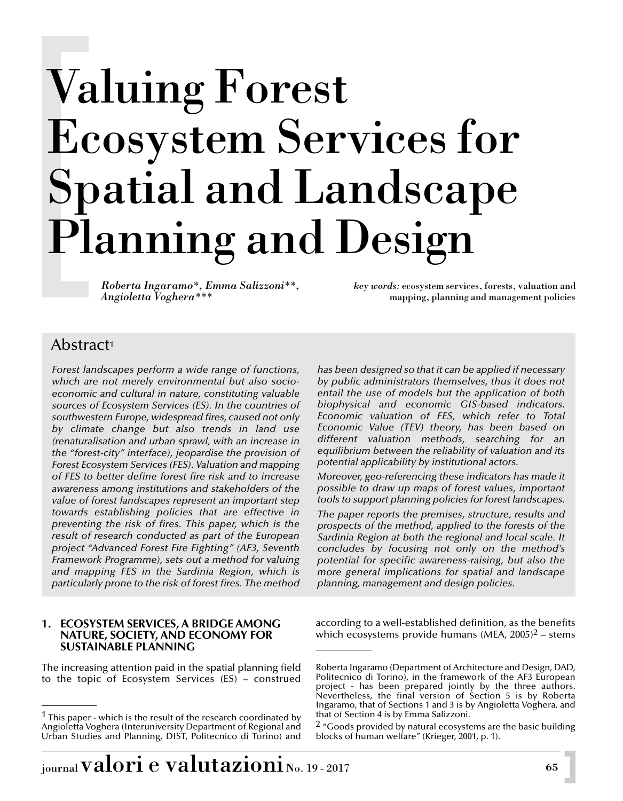# Valuing Forest Ecosystem Services for Spatial and Landscape Planning and Design

*Roberta Ingaramo\*, Emma Salizzoni\*\*, key words:* ecosystem services, forests, valuation and *Angioletta Voghera\*\*\** mapping, planning and management policies

# Abstract1

*Forest landscapes perform a wide range of functions, which are not merely environmental but also socioeconomic and cultural in nature, constituting valuable sources of Ecosystem Services (ES). In the countries of southwestern Europe, widespread fires, caused not only by climate change but also trends in land use (renaturalisation and urban sprawl, with an increase in the "forest-city" interface), jeopardise the provision of Forest Ecosystem Services (FES). Valuation and mapping of FES to better define forest fire risk and to increase awareness among institutions and stakeholders of the value of forest landscapes represent an important step towards establishing policies that are effective in preventing the risk of fires. This paper, which is the result of research conducted as part of the European project "Advanced Forest Fire Fighting" (AF3, Seventh Framework Programme), sets out a method for valuing and mapping FES in the Sardinia Region, which is particularly prone to the risk of forest fires. The method*

#### **1. ECOSYSTEM SERVICES, A BRIDGE AMONG NATURE, SOCIETY, AND ECONOMY FOR SUSTAINABLE PLANNING**

The increasing attention paid in the spatial planning field to the topic of Ecosystem Services (ES) – construed

*has been designed so that it can be applied if necessary by public administrators themselves, thus it does not entail the use of models but the application of both biophysical and economic GIS-based indicators. Economic valuation of FES, which refer to Total Economic Value (TEV) theory, has been based on different valuation methods, searching for an equilibrium between the reliability of valuation and its potential applicability by institutional actors.* 

*Moreover, geo-referencing these indicators has made it possible to draw up maps of forest values, important tools to support planning policies for forest landscapes.*

*The paper reports the premises, structure, results and prospects of the method, applied to the forests of the Sardinia Region at both the regional and local scale. It concludes by focusing not only on the method's potential for specific awareness-raising, but also the more general implications for spatial and landscape planning, management and design policies.*

according to a well-established definition, as the benefits which ecosystems provide humans (MEA,  $2005$ )<sup>2</sup> – stems

 $1$  This paper - which is the result of the research coordinated by Angioletta Voghera (Interuniversity Department of Regional and Urban Studies and Planning, DIST, Politecnico di Torino) and

Roberta Ingaramo (Department of Architecture and Design, DAD, Politecnico di Torino), in the framework of the AF3 European project - has been prepared jointly by the three authors. Nevertheless, the final version of Section 5 is by Roberta Ingaramo, that of Sections 1 and 3 is by Angioletta Voghera, and that of Section 4 is by Emma Salizzoni.

 $2\degree$  Goods provided by natural ecosystems are the basic building blocks of human welfare" (Krieger, 2001, p. 1).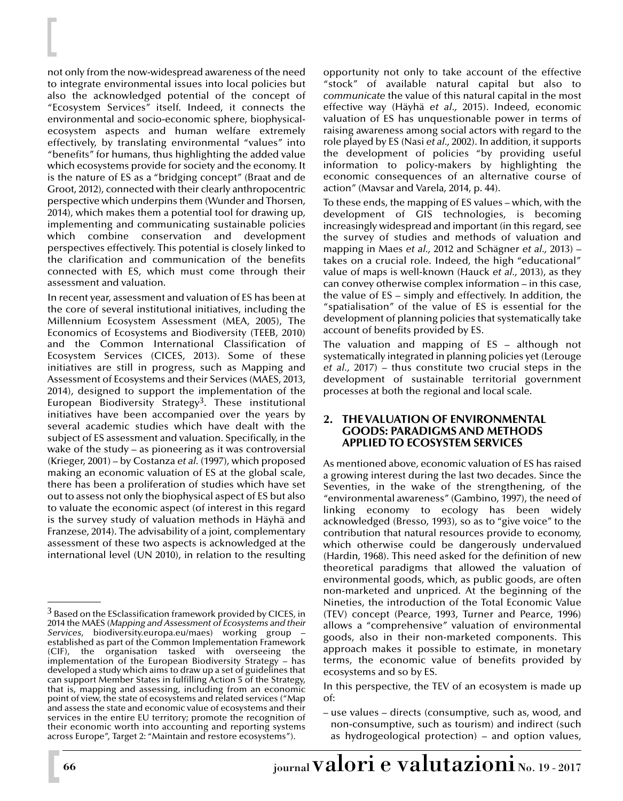not only from the now-widespread awareness of the need to integrate environmental issues into local policies but also the acknowledged potential of the concept of "Ecosystem Services" itself. Indeed, it connects the environmental and socio-economic sphere, biophysicalecosystem aspects and human welfare extremely effectively, by translating environmental "values" into "benefits" for humans, thus highlighting the added value which ecosystems provide for society and the economy. It is the nature of ES as a "bridging concept" (Braat and de Groot, 2012), connected with their clearly anthropocentric perspective which underpins them (Wunder and Thorsen, 2014), which makes them a potential tool for drawing up, implementing and communicating sustainable policies which combine conservation and development perspectives effectively. This potential is closely linked to the clarification and communication of the benefits connected with ES, which must come through their assessment and valuation.

In recent year, assessment and valuation of ES has been at the core of several institutional initiatives, including the Millennium Ecosystem Assessment (MEA, 2005), The Economics of Ecosystems and Biodiversity (TEEB, 2010) and the Common International Classification of Ecosystem Services (CICES, 2013). Some of these initiatives are still in progress, such as Mapping and Assessment of Ecosystems and their Services (MAES, 2013, 2014), designed to support the implementation of the European Biodiversity Strategy<sup>3</sup>. These institutional initiatives have been accompanied over the years by several academic studies which have dealt with the subject of ES assessment and valuation. Specifically, in the wake of the study – as pioneering as it was controversial (Krieger, 2001) – by Costanza *et al.* (1997), which proposed making an economic valuation of ES at the global scale, there has been a proliferation of studies which have set out to assess not only the biophysical aspect of ES but also to valuate the economic aspect (of interest in this regard is the survey study of valuation methods in Häyhä and Franzese, 2014). The advisability of a joint, complementary assessment of these two aspects is acknowledged at the international level (UN 2010), in relation to the resulting

opportunity not only to take account of the effective "stock" of available natural capital but also to *communicate* the value of this natural capital in the most effective way (Häyhä *et al.,* 2015). Indeed, economic valuation of ES has unquestionable power in terms of raising awareness among social actors with regard to the role played by ES (Nasi *et al.,* 2002). In addition, it supports the development of policies "by providing useful information to policy-makers by highlighting the economic consequences of an alternative course of action" (Mavsar and Varela, 2014, p. 44).

To these ends, the mapping of ES values – which, with the development of GIS technologies, is becoming increasingly widespread and important (in this regard, see the survey of studies and methods of valuation and mapping in Maes *et al.,* 2012 and Schägner *et al.,* 2013) – takes on a crucial role. Indeed, the high "educational" value of maps is well-known (Hauck *et al.,* 2013), as they can convey otherwise complex information – in this case, the value of ES – simply and effectively. In addition, the "spatialisation" of the value of ES is essential for the development of planning policies that systematically take account of benefits provided by ES.

The valuation and mapping of ES – although not systematically integrated in planning policies yet (Lerouge *et al.,* 2017) – thus constitute two crucial steps in the development of sustainable territorial government processes at both the regional and local scale.

#### **2. THE VALUATION OF ENVIRONMENTAL GOODS: PARADIGMS AND METHODS APPLIED TO ECOSYSTEM SERVICES**

As mentioned above, economic valuation of ES has raised a growing interest during the last two decades. Since the Seventies, in the wake of the strengthening, of the "environmental awareness" (Gambino, 1997), the need of linking economy to ecology has been widely acknowledged (Bresso, 1993), so as to "give voice" to the contribution that natural resources provide to economy, which otherwise could be dangerously undervalued (Hardin, 1968). This need asked for the definition of new theoretical paradigms that allowed the valuation of environmental goods, which, as public goods, are often non-marketed and unpriced. At the beginning of the Nineties, the introduction of the Total Economic Value (TEV) concept (Pearce, 1993, Turner and Pearce, 1996) allows a "comprehensive" valuation of environmental goods, also in their non-marketed components. This approach makes it possible to estimate, in monetary terms, the economic value of benefits provided by ecosystems and so by ES.

In this perspective, the TEV of an ecosystem is made up of:

– use values – directs (consumptive, such as, wood, and non-consumptive, such as tourism) and indirect (such as hydrogeological protection) – and option values,

 $3$  Based on the ESclassification framework provided by CICES, in 2014 the MAES (*Mapping and Assessment of Ecosystems and their Services*, biodiversity.europa.eu/maes) working group – established as part of the Common Implementation Framework (CIF), the organisation tasked with overseeing the implementation of the European Biodiversity Strategy – has developed a study which aims to draw up a set of guidelines that can support Member States in fulfilling Action 5 of the Strategy, that is, mapping and assessing, including from an economic point of view, the state of ecosystems and related services ("Map and assess the state and economic value of ecosystems and their services in the entire EU territory; promote the recognition of their economic worth into accounting and reporting systems across Europe", Target 2: "Maintain and restore ecosystems").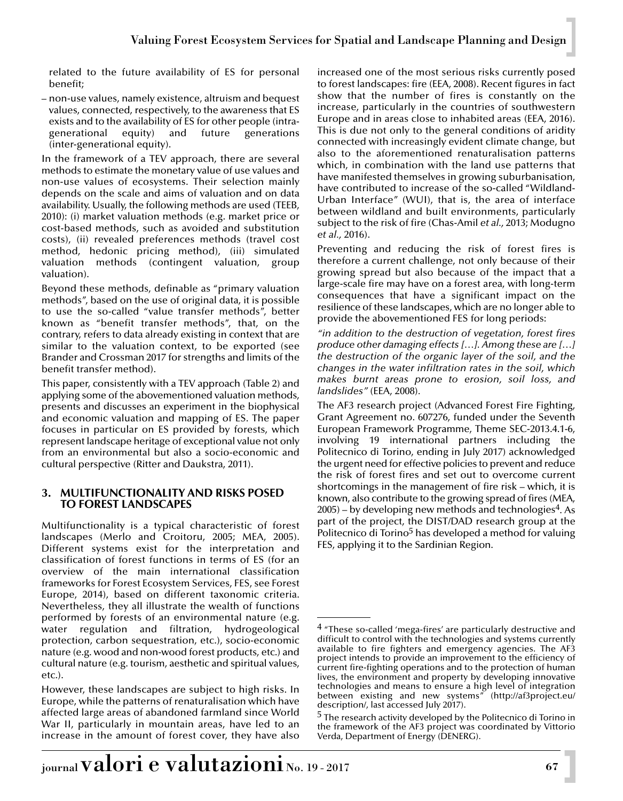related to the future availability of ES for personal benefit;

– non-use values, namely existence, altruism and bequest values, connected, respectively, to the awareness that ES exists and to the availability of ES for other people (intra-<br>generational equity) and future generations equity) and future generations (inter-generational equity).

In the framework of a TEV approach, there are several methods to estimate the monetary value of use values and non-use values of ecosystems. Their selection mainly depends on the scale and aims of valuation and on data availability. Usually, the following methods are used (TEEB, 2010): (i) market valuation methods (e.g. market price or cost-based methods, such as avoided and substitution costs), (ii) revealed preferences methods (travel cost method, hedonic pricing method), (iii) simulated valuation methods (contingent valuation, group valuation).

Beyond these methods, definable as "primary valuation methods", based on the use of original data, it is possible to use the so-called "value transfer methods", better known as "benefit transfer methods", that, on the contrary, refers to data already existing in context that are similar to the valuation context, to be exported (see Brander and Crossman 2017 for strengths and limits of the benefit transfer method).

This paper, consistently with a TEV approach (Table 2) and applying some of the abovementioned valuation methods, presents and discusses an experiment in the biophysical and economic valuation and mapping of ES. The paper focuses in particular on ES provided by forests, which represent landscape heritage of exceptional value not only from an environmental but also a socio-economic and cultural perspective (Ritter and Daukstra, 2011).

## **3. MULTIFUNCTIONALITY AND RISKS POSED TO FOREST LANDSCAPES**

Multifunctionality is a typical characteristic of forest landscapes (Merlo and Croitoru, 2005; MEA, 2005). Different systems exist for the interpretation and classification of forest functions in terms of ES (for an overview of the main international classification frameworks for Forest Ecosystem Services, FES, see Forest Europe, 2014), based on different taxonomic criteria. Nevertheless, they all illustrate the wealth of functions performed by forests of an environmental nature (e.g. water regulation and filtration, hydrogeological protection, carbon sequestration, etc.), socio-economic nature (e.g. wood and non-wood forest products, etc.) and cultural nature (e.g. tourism, aesthetic and spiritual values, etc.).

However, these landscapes are subject to high risks. In Europe, while the patterns of renaturalisation which have affected large areas of abandoned farmland since World War II, particularly in mountain areas, have led to an increase in the amount of forest cover, they have also

increased one of the most serious risks currently posed to forest landscapes: fire (EEA, 2008). Recent figures in fact show that the number of fires is constantly on the increase, particularly in the countries of southwestern Europe and in areas close to inhabited areas (EEA, 2016). This is due not only to the general conditions of aridity connected with increasingly evident climate change, but also to the aforementioned renaturalisation patterns which, in combination with the land use patterns that have manifested themselves in growing suburbanisation, have contributed to increase of the so-called "Wildland-Urban Interface" (WUI), that is, the area of interface between wildland and built environments, particularly subject to the risk of fire (Chas-Amil *et al.,* 2013; Modugno *et al.,* 2016).

Preventing and reducing the risk of forest fires is therefore a current challenge, not only because of their growing spread but also because of the impact that a large-scale fire may have on a forest area, with long-term consequences that have a significant impact on the resilience of these landscapes, which are no longer able to provide the abovementioned FES for long periods:

*"in addition to the destruction of vegetation, forest fires produce other damaging effects […]. Among these are […] the destruction of the organic layer of the soil, and the changes in the water infiltration rates in the soil, which makes burnt areas prone to erosion, soil loss, and landslides"* (EEA, 2008)*.*

The AF3 research project (Advanced Forest Fire Fighting, Grant Agreement no. 607276, funded under the Seventh European Framework Programme, Theme SEC-2013.4.1-6, involving 19 international partners including the Politecnico di Torino, ending in July 2017) acknowledged the urgent need for effective policies to prevent and reduce the risk of forest fires and set out to overcome current shortcomings in the management of fire risk – which, it is known, also contribute to the growing spread of fires (MEA,  $2005$  – by developing new methods and technologies<sup>4</sup>. As part of the project, the DIST/DAD research group at the Politecnico di Torino<sup>5</sup> has developed a method for valuing FES, applying it to the Sardinian Region.

<sup>4</sup> "These so-called 'mega-fires' are particularly destructive and difficult to control with the technologies and systems currently available to fire fighters and emergency agencies. The AF3 project intends to provide an improvement to the efficiency of current fire-fighting operations and to the protection of human lives, the environment and property by developing innovative technologies and means to ensure a high level of integration between existing and new systems" (http://af3project.eu/ description/, last accessed July 2017).

<sup>&</sup>lt;sup>5</sup> The research activity developed by the Politecnico di Torino in the framework of the AF3 project was coordinated by Vittorio Verda, Department of Energy (DENERG).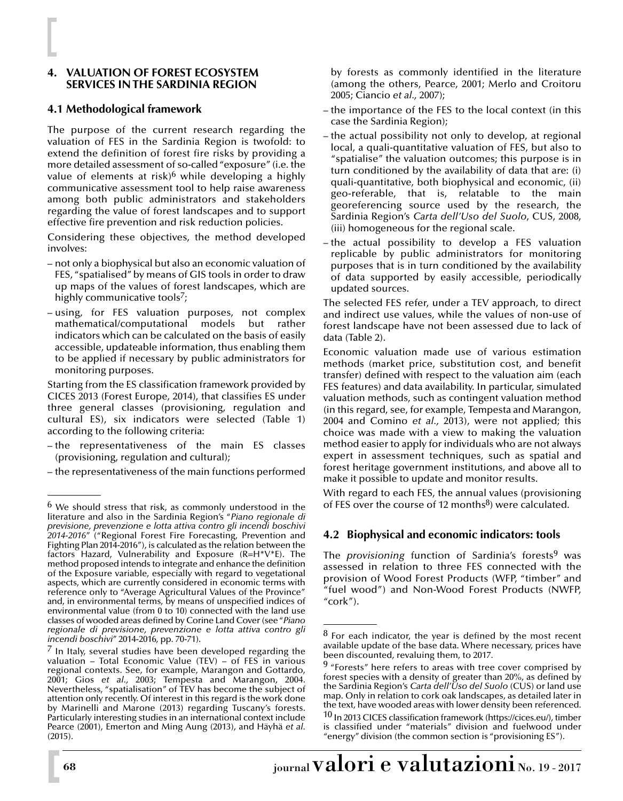## **4. VALUATION OF FOREST ECOSYSTEM SERVICES IN THE SARDINIA REGION**

## **4.1 Methodological framework**

The purpose of the current research regarding the valuation of FES in the Sardinia Region is twofold: to extend the definition of forest fire risks by providing a more detailed assessment of so-called "exposure" (i.e. the value of elements at risk)<sup>6</sup> while developing a highly communicative assessment tool to help raise awareness among both public administrators and stakeholders regarding the value of forest landscapes and to support effective fire prevention and risk reduction policies.

Considering these objectives, the method developed involves:

- not only a biophysical but also an economic valuation of FES, "spatialised" by means of GIS tools in order to draw up maps of the values of forest landscapes, which are highly communicative tools $\frac{7}{7}$ ;
- using, for FES valuation purposes, not complex mathematical/computational models but rather indicators which can be calculated on the basis of easily accessible, updateable information, thus enabling them to be applied if necessary by public administrators for monitoring purposes.

Starting from the ES classification framework provided by CICES 2013 (Forest Europe, 2014), that classifies ES under three general classes (provisioning, regulation and cultural ES), six indicators were selected (Table 1) according to the following criteria:

- the representativeness of the main ES classes (provisioning, regulation and cultural);
- the representativeness of the main functions performed

by forests as commonly identified in the literature (among the others, Pearce, 2001; Merlo and Croitoru 2005; Ciancio *et al.,* 2007);

- the importance of the FES to the local context (in this case the Sardinia Region);
- the actual possibility not only to develop, at regional local, a quali-quantitative valuation of FES, but also to "spatialise" the valuation outcomes; this purpose is in turn conditioned by the availability of data that are: (i) quali-quantitative, both biophysical and economic, (ii) geo-referable, that is, relatable to the main georeferencing source used by the research, the Sardinia Region's *Carta dell'Uso del Suolo*, CUS, 2008, (iii) homogeneous for the regional scale.
- the actual possibility to develop a FES valuation replicable by public administrators for monitoring purposes that is in turn conditioned by the availability of data supported by easily accessible, periodically updated sources.

The selected FES refer, under a TEV approach, to direct and indirect use values, while the values of non-use of forest landscape have not been assessed due to lack of data (Table 2).

Economic valuation made use of various estimation methods (market price, substitution cost, and benefit transfer) defined with respect to the valuation aim (each FES features) and data availability. In particular, simulated valuation methods, such as contingent valuation method (in this regard, see, for example, Tempesta and Marangon, 2004 and Comino *et al.,* 2013), were not applied; this choice was made with a view to making the valuation method easier to apply for individuals who are not always expert in assessment techniques, such as spatial and forest heritage government institutions, and above all to make it possible to update and monitor results.

With regard to each FES, the annual values (provisioning of FES over the course of 12 months $8$ ) were calculated.

# **4.2 Biophysical and economic indicators: tools**

The *provisioning* function of Sardinia's forests<sup>9</sup> was assessed in relation to three FES connected with the provision of Wood Forest Products (WFP, "timber" and "fuel wood") and Non-Wood Forest Products (NWFP, "cork").

 $6$  We should stress that risk, as commonly understood in the literature and also in the Sardinia Region's "*Piano regionale di previsione, prevenzione e lotta attiva contro gli incendi boschivi 2014-2016*" ("Regional Forest Fire Forecasting, Prevention and Fighting Plan 2014-2016"), is calculated as the relation between the factors Hazard, Vulnerability and Exposure (R=H\*V\*E). The method proposed intends to integrate and enhance the definition of the Exposure variable, especially with regard to vegetational aspects, which are currently considered in economic terms with reference only to "Average Agricultural Values of the Province" and, in environmental terms, by means of unspecified indices of environmental value (from 0 to 10) connected with the land use classes of wooded areas defined by Corine Land Cover (see "*Piano regionale di previsione, prevenzione e lotta attiva contro gli incendi boschivi*" 2014-2016, pp. 70-71).

 $\frac{7}{1}$  In Italy, several studies have been developed regarding the valuation – Total Economic Value (TEV) – of FES in various regional contexts. See, for example, Marangon and Gottardo, 2001; Gios *et al.,* 2003; Tempesta and Marangon, 2004. Nevertheless, "spatialisation" of TEV has become the subject of attention only recently. Of interest in this regard is the work done by Marinelli and Marone (2013) regarding Tuscany's forests. Particularly interesting studies in an international context include Pearce (2001), Emerton and Ming Aung (2013), and Häyhä *et al.* (2015).

 $8$  For each indicator, the year is defined by the most recent available update of the base data. Where necessary, prices have been discounted, revaluing them, to 2017.

 $9$  "Forests" here refers to areas with tree cover comprised by forest species with a density of greater than 20%, as defined by the Sardinia Region's *Carta dell'Uso del Suolo* (CUS) or land use map. Only in relation to cork oak landscapes, as detailed later in the text, have wooded areas with lower density been referenced. 10 In 2013 CICES classification framework (https://cices.eu/), timber is classified under "materials" division and fuelwood under "energy" division (the common section is "provisioning ES").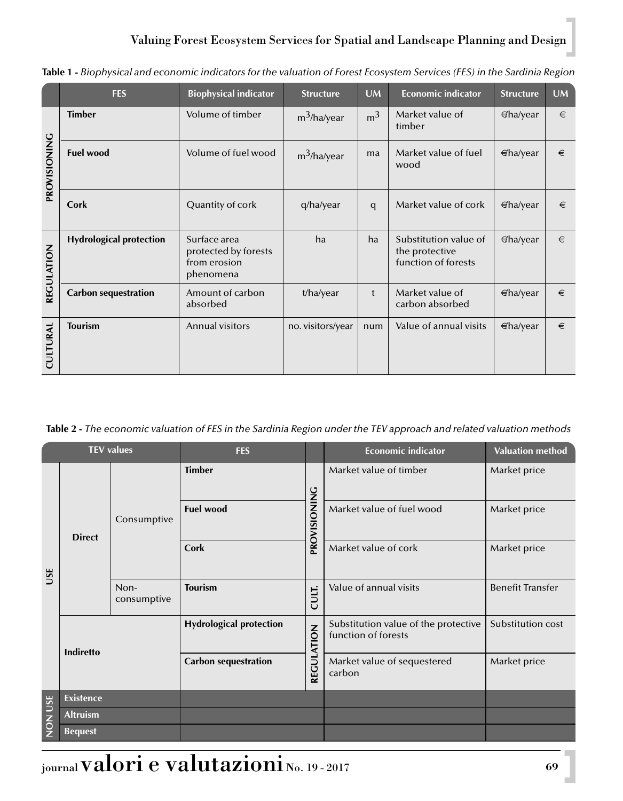# Valuing Forest Ecosystem Services for Spatial and Landscape Planning and Design

|                 | <b>FES</b>                     | <b>Biophysical indicator</b>                                      | <b>Structure</b>  | <b>UM</b>      | <b>Economic indicator</b>                                      | <b>Structure</b> | UM |
|-----------------|--------------------------------|-------------------------------------------------------------------|-------------------|----------------|----------------------------------------------------------------|------------------|----|
| PROVISIONING    | <b>Timber</b>                  | Volume of timber                                                  | $m^3$ /ha/year    | m <sup>3</sup> | Market value of<br>timber                                      | $\in$ ha/year    | €  |
|                 | <b>Fuel wood</b>               | Volume of fuel wood                                               | $m^3$ /ha/year    | ma             | Market value of fuel<br>wood                                   | $\Theta$ ha/year | €  |
|                 | Cork                           | Quantity of cork                                                  | q/ha/year         | q              | Market value of cork                                           | $\Theta$ ha/year | €  |
| REGULATION      | <b>Hydrological protection</b> | Surface area<br>protected by forests<br>from erosion<br>phenomena | ha                | ha             | Substitution value of<br>the protective<br>function of forests | $\in$ ha/year    | €  |
|                 | <b>Carbon sequestration</b>    | Amount of carbon<br>absorbed                                      | t/ha/year         | t              | Market value of<br>carbon absorbed                             | $\Theta$ ha/year | €  |
| <b>CULTURAL</b> | <b>Tourism</b>                 | Annual visitors                                                   | no. visitors/year | num            | Value of annual visits                                         | $\Theta$ ha/year | €  |

**Table 1 -** *Biophysical and economic indicators for the valuation of Forest Ecosystem Services (FES) in the Sardinia Region*

**Table 2 -** *The economic valuation of FES in the Sardinia Region under the TEV approach and related valuation methods*

| <b>TEV values</b> |                  |                     | <b>FES</b>                     |              | <b>Economic indicator</b>                                   | <b>Valuation method</b> |  |
|-------------------|------------------|---------------------|--------------------------------|--------------|-------------------------------------------------------------|-------------------------|--|
| USE               | <b>Direct</b>    |                     | <b>Timber</b>                  |              | Market value of timber                                      | Market price            |  |
|                   |                  | Consumptive         | <b>Fuel wood</b>               | PROVISIONING | Market value of fuel wood                                   | Market price            |  |
|                   |                  |                     | Cork                           |              | Market value of cork                                        | Market price            |  |
|                   |                  | Non-<br>consumptive | <b>Tourism</b>                 | CULT.        | Value of annual visits                                      | <b>Benefit Transfer</b> |  |
|                   | <b>Indiretto</b> |                     | <b>Hydrological protection</b> | REGULATION   | Substitution value of the protective<br>function of forests | Substitution cost       |  |
|                   |                  |                     | <b>Carbon sequestration</b>    |              | Market value of sequestered<br>carbon                       | Market price            |  |
| <b>NON USE</b>    | <b>Existence</b> |                     |                                |              |                                                             |                         |  |
|                   | <b>Altruism</b>  |                     |                                |              |                                                             |                         |  |
|                   | <b>Bequest</b>   |                     |                                |              |                                                             |                         |  |

journal valori e valutazioni No. 19 - 2017 **<sup>69</sup>**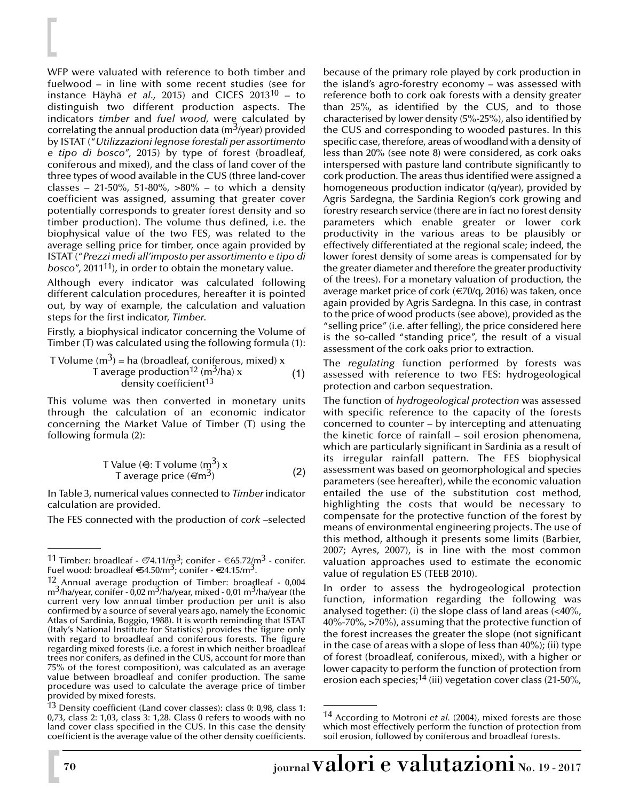WFP were valuated with reference to both timber and fuelwood – in line with some recent studies (see for instance Häyhä *et al.,* 2015) and CICES 201310 – to distinguish two different production aspects. The indicators *timber* and *fuel wood*, were calculated by correlating the annual production data ( $m<sup>3</sup>/year$ ) provided by ISTAT ("*Utilizzazioni legnose forestali per assortimento e tipo di bosco*", 2015) by type of forest (broadleaf, coniferous and mixed), and the class of land cover of the three types of wood available in the CUS (three land-cover classes – 21-50%, 51-80%,  $>80\%$  – to which a density coefficient was assigned, assuming that greater cover potentially corresponds to greater forest density and so timber production). The volume thus defined, i.e. the biophysical value of the two FES, was related to the average selling price for timber, once again provided by ISTAT ("*Prezzi medi all'imposto per assortimento e tipo di bosco*", 201111), in order to obtain the monetary value.

Although every indicator was calculated following different calculation procedures, hereafter it is pointed out, by way of example, the calculation and valuation steps for the first indicator, *Timber*.

Firstly, a biophysical indicator concerning the Volume of Timber (T) was calculated using the following formula (1):

T Volume 
$$
(m^3)
$$
 = ha (broadleaf, coniferous, mixed) x  
T average production<sup>12</sup>  $(m^3/ha)$  x (1)  
density coefficient<sup>13</sup>

This volume was then converted in monetary units through the calculation of an economic indicator concerning the Market Value of Timber (T) using the following formula (2):

T Value (€): T volume (m3) x (2) T average price (€/m3)

In Table 3, numerical values connected to *Timber* indicator calculation are provided.

The FES connected with the production of *cork* –selected

because of the primary role played by cork production in the island's agro-forestry economy – was assessed with reference both to cork oak forests with a density greater than 25%, as identified by the CUS, and to those characterised by lower density (5%-25%), also identified by the CUS and corresponding to wooded pastures. In this specific case, therefore, areas of woodland with a density of less than 20% (see note 8) were considered, as cork oaks interspersed with pasture land contribute significantly to cork production. The areas thus identified were assigned a homogeneous production indicator (q/year), provided by Agris Sardegna, the Sardinia Region's cork growing and forestry research service (there are in fact no forest density parameters which enable greater or lower cork productivity in the various areas to be plausibly or effectively differentiated at the regional scale; indeed, the lower forest density of some areas is compensated for by the greater diameter and therefore the greater productivity of the trees). For a monetary valuation of production, the average market price of cork ( $\in$ 70/q, 2016) was taken, once again provided by Agris Sardegna. In this case, in contrast to the price of wood products (see above), provided as the "selling price" (i.e. after felling), the price considered here is the so-called "standing price", the result of a visual assessment of the cork oaks prior to extraction.

The *regulating* function performed by forests was assessed with reference to two FES: hydrogeological protection and carbon sequestration.

The function of *hydrogeological protection* was assessed with specific reference to the capacity of the forests concerned to counter – by intercepting and attenuating the kinetic force of rainfall – soil erosion phenomena, which are particularly significant in Sardinia as a result of its irregular rainfall pattern. The FES biophysical assessment was based on geomorphological and species parameters (see hereafter), while the economic valuation entailed the use of the substitution cost method, highlighting the costs that would be necessary to compensate for the protective function of the forest by means of environmental engineering projects. The use of this method, although it presents some limits (Barbier, 2007; Ayres, 2007), is in line with the most common valuation approaches used to estimate the economic value of regulation ES (TEEB 2010).

In order to assess the hydrogeological protection function, information regarding the following was analysed together: (i) the slope class of land areas (<40%, 40%-70%, >70%), assuming that the protective function of the forest increases the greater the slope (not significant in the case of areas with a slope of less than 40%); (ii) type of forest (broadleaf, coniferous, mixed), with a higher or lower capacity to perform the function of protection from erosion each species;<sup>14</sup> (iii) vegetation cover class (21-50%,

 $^{11}$  Timber: broadleaf -  $\textnormal{\textit{\#}}$ 4.11/m $^3$ ; conifer -  $\textnormal{\textit{\#}}$ 65.72/m $^3$  - conifer. Fuel wood: broadleaf  $64.50/m^3$ ; conifer -  $624.15/m^3$ .

 $12$ <sub>2</sub> Annual average production of Timber: broadleaf - 0,004 m<sup>3</sup>/ha/year, conifer - 0,02 m<sup>3</sup>/ha/year, mixed - 0,01 m<sup>3</sup>/ha/year (the current very low annual timber production per unit is also confirmed by a source of several years ago, namely the Economic Atlas of Sardinia, Boggio, 1988). It is worth reminding that ISTAT (Italy's National Institute for Statistics) provides the figure only with regard to broadleaf and coniferous forests. The figure regarding mixed forests (i.e. a forest in which neither broadleaf trees nor conifers, as defined in the CUS, account for more than 75% of the forest composition), was calculated as an average value between broadleaf and conifer production. The same procedure was used to calculate the average price of timber provided by mixed forests.

 $13$  Density coefficient (Land cover classes): class 0: 0,98, class 1: 0,73, class 2: 1,03, class 3: 1,28. Class 0 refers to woods with no land cover class specified in the CUS. In this case the density coefficient is the average value of the other density coefficients.

<sup>14</sup> According to Motroni *et al.* (2004), mixed forests are those which most effectively perform the function of protection from soil erosion, followed by coniferous and broadleaf forests.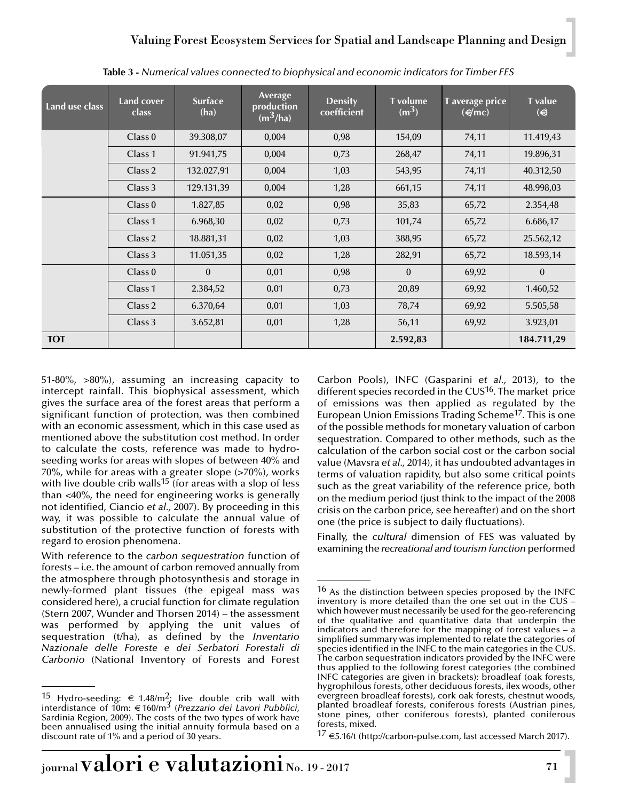| Land use class | Land cover<br>class | <b>Surface</b><br>(ha) | <b>Average</b><br>production<br>$(m^3/ha)$ | <b>Density</b><br>coefficient | <b>T</b> volume<br>$(m^3)$ | T average price<br>$(\epsilon/mc)$ | <b>T</b> value<br>$\Theta$ |
|----------------|---------------------|------------------------|--------------------------------------------|-------------------------------|----------------------------|------------------------------------|----------------------------|
|                | Class 0             | 39.308,07              | 0,004                                      | 0,98                          | 154,09                     | 74,11                              | 11.419,43                  |
|                | Class 1             | 91.941,75              | 0,004                                      | 0.73                          | 268,47                     | 74,11                              | 19.896,31                  |
|                | Class 2             | 132.027,91             | 0,004                                      | 1,03                          | 543,95                     | 74,11                              | 40.312,50                  |
|                | Class 3             | 129.131,39             | 0,004                                      | 1,28                          | 661,15                     | 74,11                              | 48.998,03                  |
|                | Class 0             | 1.827,85               | 0.02                                       | 0,98                          | 35,83                      | 65,72                              | 2.354,48                   |
|                | Class <sub>1</sub>  | 6.968,30               | 0,02                                       | 0,73                          | 101,74                     | 65,72                              | 6.686,17                   |
|                | Class 2             | 18.881,31              | 0,02                                       | 1,03                          | 388,95                     | 65,72                              | 25.562,12                  |
|                | Class 3             | 11.051,35              | 0.02                                       | 1,28                          | 282,91                     | 65,72                              | 18.593,14                  |
|                | Class 0             | $\Omega$               | 0.01                                       | 0,98                          | $\Omega$                   | 69,92                              | $\theta$                   |
|                | Class 1             | 2.384,52               | 0,01                                       | 0,73                          | 20,89                      | 69,92                              | 1.460,52                   |
|                | Class 2             | 6.370,64               | 0,01                                       | 1,03                          | 78,74                      | 69,92                              | 5.505,58                   |
|                | Class 3             | 3.652,81               | 0,01                                       | 1,28                          | 56,11                      | 69,92                              | 3.923,01                   |
| <b>TOT</b>     |                     |                        |                                            |                               | 2.592,83                   |                                    | 184.711,29                 |

**Table 3 -** *Numerical values connected to biophysical and economic indicators for Timber FES*

51-80%, >80%), assuming an increasing capacity to intercept rainfall. This biophysical assessment, which gives the surface area of the forest areas that perform a significant function of protection, was then combined with an economic assessment, which in this case used as mentioned above the substitution cost method. In order to calculate the costs, reference was made to hydroseeding works for areas with slopes of between 40% and 70%, while for areas with a greater slope (>70%), works with live double crib walls<sup>15</sup> (for areas with a slop of less than <40%, the need for engineering works is generally not identified, Ciancio *et al.,* 2007). By proceeding in this way, it was possible to calculate the annual value of substitution of the protective function of forests with regard to erosion phenomena.

With reference to the *carbon sequestration* function of forests – i.e. the amount of carbon removed annually from the atmosphere through photosynthesis and storage in newly-formed plant tissues (the epigeal mass was considered here), a crucial function for climate regulation (Stern 2007, Wunder and Thorsen 2014) – the assessment was performed by applying the unit values of sequestration (t/ha), as defined by the *Inventario Nazionale delle Foreste e dei Serbatori Forestali di Carbonio* (National Inventory of Forests and Forest Carbon Pools), INFC (Gasparini *et al.,* 2013), to the different species recorded in the CUS<sup>16</sup>. The market price of emissions was then applied as regulated by the European Union Emissions Trading Scheme<sup>17</sup>. This is one of the possible methods for monetary valuation of carbon sequestration. Compared to other methods, such as the calculation of the carbon social cost or the carbon social value (Mavsra *et al.,* 2014), it has undoubted advantages in terms of valuation rapidity, but also some critical points such as the great variability of the reference price, both on the medium period (just think to the impact of the 2008 crisis on the carbon price, see hereafter) and on the short one (the price is subject to daily fluctuations).

Finally, the *cultural* dimension of FES was valuated by examining the *recreational and tourism function* performed

<sup>17</sup> €5.16/t (http://carbon-pulse.com, last accessed March 2017).

<sup>&</sup>lt;sup>15</sup> Hydro-seeding: € 1.48/m<sup>2</sup>; live double crib wall with interdistance of 10m: € 160/m3 (*Prezzario dei Lavori Pubblici*, Sardinia Region, 2009). The costs of the two types of work have been annualised using the initial annuity formula based on a discount rate of 1% and a period of 30 years.

<sup>16</sup> As the distinction between species proposed by the INFC inventory is more detailed than the one set out in the CUS  $$ which however must necessarily be used for the geo-referencing of the qualitative and quantitative data that underpin the indicators and therefore for the mapping of forest values – a simplified summary was implemented to relate the categories of species identified in the INFC to the main categories in the CUS. The carbon sequestration indicators provided by the INFC were thus applied to the following forest categories (the combined INFC categories are given in brackets): broadleaf (oak forests, hygrophilous forests, other deciduous forests, ilex woods, other evergreen broadleaf forests), cork oak forests, chestnut woods, planted broadleaf forests, coniferous forests (Austrian pines, stone pines, other coniferous forests), planted coniferous forests, mixed.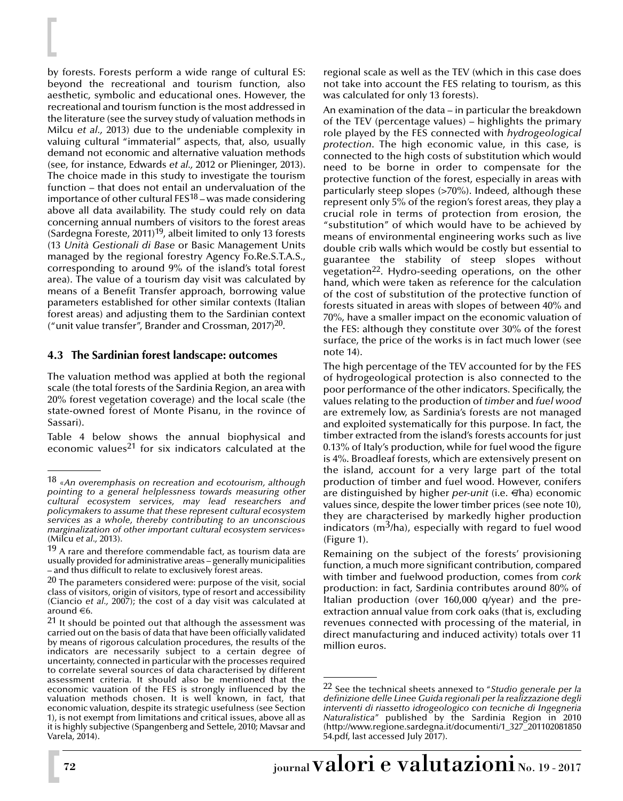by forests. Forests perform a wide range of cultural ES: beyond the recreational and tourism function, also aesthetic, symbolic and educational ones. However, the recreational and tourism function is the most addressed in the literature (see the survey study of valuation methods in Milcu *et al.,* 2013) due to the undeniable complexity in valuing cultural "immaterial" aspects, that, also, usually demand not economic and alternative valuation methods (see, for instance, Edwards *et al.,* 2012 or Plieninger, 2013). The choice made in this study to investigate the tourism function – that does not entail an undervaluation of the importance of other cultural FES18 – was made considering above all data availability. The study could rely on data concerning annual numbers of visitors to the forest areas (Sardegna Foreste, 2011)<sup>19</sup>, albeit limited to only 13 forests (13 *Unità Gestionali di Base* or Basic Management Units managed by the regional forestry Agency Fo.Re.S.T.A.S., corresponding to around 9% of the island's total forest area). The value of a tourism day visit was calculated by means of a Benefit Transfer approach, borrowing value parameters established for other similar contexts (Italian forest areas) and adjusting them to the Sardinian context ("unit value transfer", Brander and Crossman,  $2017$ )<sup>20</sup>.

### **4.3 The Sardinian forest landscape: outcomes**

The valuation method was applied at both the regional scale (the total forests of the Sardinia Region, an area with 20% forest vegetation coverage) and the local scale (the state-owned forest of Monte Pisanu, in the rovince of Sassari).

Table 4 below shows the annual biophysical and economic values<sup>21</sup> for six indicators calculated at the

regional scale as well as the TEV (which in this case does not take into account the FES relating to tourism, as this was calculated for only 13 forests).

An examination of the data – in particular the breakdown of the TEV (percentage values) – highlights the primary role played by the FES connected with *hydrogeological protection*. The high economic value, in this case, is connected to the high costs of substitution which would need to be borne in order to compensate for the protective function of the forest, especially in areas with particularly steep slopes (>70%). Indeed, although these represent only 5% of the region's forest areas, they play a crucial role in terms of protection from erosion, the "substitution" of which would have to be achieved by means of environmental engineering works such as live double crib walls which would be costly but essential to guarantee the stability of steep slopes without vegetation22. Hydro-seeding operations, on the other hand, which were taken as reference for the calculation of the cost of substitution of the protective function of forests situated in areas with slopes of between 40% and 70%, have a smaller impact on the economic valuation of the FES: although they constitute over 30% of the forest surface, the price of the works is in fact much lower (see note 14).

The high percentage of the TEV accounted for by the FES of hydrogeological protection is also connected to the poor performance of the other indicators. Specifically, the values relating to the production of *timber* and *fuel wood* are extremely low, as Sardinia's forests are not managed and exploited systematically for this purpose. In fact, the timber extracted from the island's forests accounts for just 0.13% of Italy's production, while for fuel wood the figure is 4%. Broadleaf forests, which are extensively present on the island, account for a very large part of the total production of timber and fuel wood. However, conifers are distinguished by higher *per-unit* (i.e. €ha) economic values since, despite the lower timber prices (see note 10), they are characterised by markedly higher production indicators ( $m<sup>3</sup>/ha$ ), especially with regard to fuel wood (Figure 1).

Remaining on the subject of the forests' provisioning function, a much more significant contribution, compared with timber and fuelwood production, comes from *cork* production: in fact, Sardinia contributes around 80% of Italian production (over 160,000 q/year) and the preextraction annual value from cork oaks (that is, excluding revenues connected with processing of the material, in direct manufacturing and induced activity) totals over 11 million euros.

<sup>18</sup> «*An overemphasis on recreation and ecotourism, although pointing to a general helplessness towards measuring other cultural ecosystem services, may lead researchers and policymakers to assume that these represent cultural ecosystem services as a whole, thereby contributing to an unconscious marginalization of other important cultural ecosystem services*» (Milcu *et al.,* 2013).

 $19$  A rare and therefore commendable fact, as tourism data are usually provided for administrative areas – generally municipalities – and thus difficult to relate to exclusively forest areas.

 $20$  The parameters considered were: purpose of the visit, social class of visitors, origin of visitors, type of resort and accessibility (Ciancio *et al.,* 2007); the cost of a day visit was calculated at around  $\in 6$ .

 $21$  It should be pointed out that although the assessment was carried out on the basis of data that have been officially validated by means of rigorous calculation procedures, the results of the indicators are necessarily subject to a certain degree of uncertainty, connected in particular with the processes required to correlate several sources of data characterised by different assessment criteria. It should also be mentioned that the economic vauation of the FES is strongly influenced by the valuation methods chosen. It is well known, in fact, that economic valuation, despite its strategic usefulness (see Section 1), is not exempt from limitations and critical issues, above all as it is highly subjective (Spangenberg and Settele, 2010; Mavsar and Varela, 2014).

<sup>22</sup> See the technical sheets annexed to "*Studio generale per la definizione delle Linee Guida regionali per la realizzazione degli interventi di riassetto idrogeologico con tecniche di Ingegneria Naturalistica*" published by the Sardinia Region in 2010 (http://www.regione.sardegna.it/documenti/1\_327\_201102081850 54.pdf, last accessed July 2017).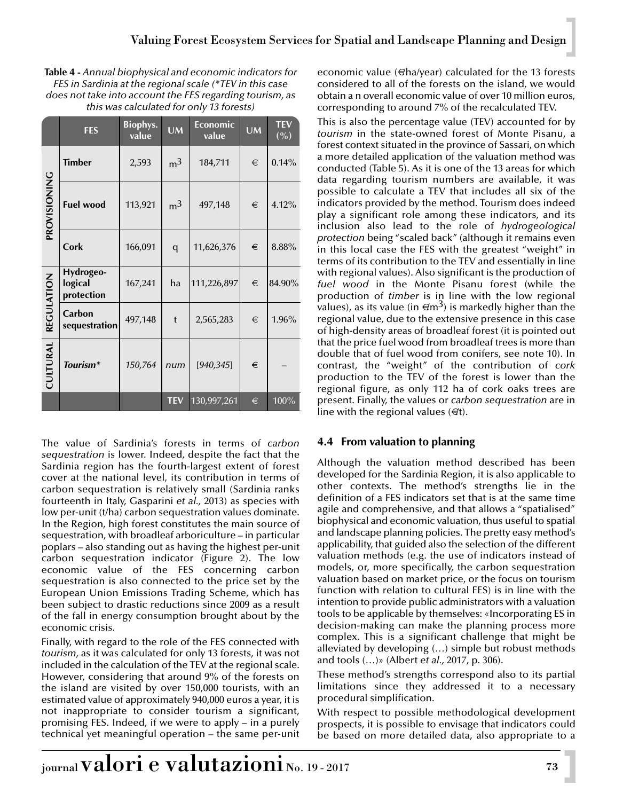| Table 4 - Annual biophysical and economic indicators for |
|----------------------------------------------------------|
| FES in Sardinia at the regional scale (*TEV in this case |
| does not take into account the FES regarding tourism, as |
| this was calculated for only 13 forests)                 |

|                 | <b>FES</b>                         | <b>Biophys.</b><br>value | <b>UM</b>      | <b>Economic</b><br>value | <b>UM</b> | <b>TEV</b><br>( %) |
|-----------------|------------------------------------|--------------------------|----------------|--------------------------|-----------|--------------------|
|                 | <b>Timber</b>                      | 2,593                    | m <sup>3</sup> | 184,711                  | €         | 0.14%              |
| PROVISIONING    | <b>Fuel wood</b>                   | 113,921                  | m <sup>3</sup> | 497,148                  | €         | 4.12%              |
|                 | Cork                               | 166,091                  | q              | 11,626,376               | €         | 8.88%              |
|                 | Hydrogeo-<br>logical<br>protection | 167,241                  | ha             | 111,226,897              | €         | 84.90%             |
| REGULATION      | Carbon<br>sequestration            | 497,148                  | t              | 2,565,283                | €         | 1.96%              |
| <b>CULTURAL</b> | Tourism*                           | 150,764                  | num            | [940, 345]               | €         |                    |
|                 |                                    |                          | <b>TEV</b>     | 130,997,261              | €         | 100%               |

The value of Sardinia's forests in terms of *carbon sequestration* is lower. Indeed, despite the fact that the Sardinia region has the fourth-largest extent of forest cover at the national level, its contribution in terms of carbon sequestration is relatively small (Sardinia ranks fourteenth in Italy, Gasparini *et al.,* 2013) as species with low per-unit (t/ha) carbon sequestration values dominate. In the Region, high forest constitutes the main source of sequestration, with broadleaf arboriculture – in particular poplars – also standing out as having the highest per-unit carbon sequestration indicator (Figure 2). The low economic value of the FES concerning carbon sequestration is also connected to the price set by the European Union Emissions Trading Scheme, which has been subject to drastic reductions since 2009 as a result of the fall in energy consumption brought about by the economic crisis.

Finally, with regard to the role of the FES connected with *tourism*, as it was calculated for only 13 forests, it was not included in the calculation of the TEV at the regional scale. However, considering that around 9% of the forests on the island are visited by over 150,000 tourists, with an estimated value of approximately 940,000 euros a year, it is not inappropriate to consider tourism a significant, promising FES. Indeed, if we were to apply – in a purely technical yet meaningful operation – the same per-unit economic value (€ha/year) calculated for the 13 forests considered to all of the forests on the island, we would obtain a n overall economic value of over 10 million euros, corresponding to around 7% of the recalculated TEV.

This is also the percentage value (TEV) accounted for by *tourism* in the state-owned forest of Monte Pisanu, a forest context situated in the province of Sassari, on which a more detailed application of the valuation method was conducted (Table 5). As it is one of the 13 areas for which data regarding tourism numbers are available, it was possible to calculate a TEV that includes all six of the indicators provided by the method. Tourism does indeed play a significant role among these indicators, and its inclusion also lead to the role of *hydrogeological protection* being "scaled back" (although it remains even in this local case the FES with the greatest "weight" in terms of its contribution to the TEV and essentially in line with regional values). Also significant is the production of *fuel wood* in the Monte Pisanu forest (while the production of *timber* is in line with the low regional values), as its value (in  $\epsilon/m^3$ ) is markedly higher than the regional value, due to the extensive presence in this case of high-density areas of broadleaf forest (it is pointed out that the price fuel wood from broadleaf trees is more than double that of fuel wood from conifers, see note 10). In contrast, the "weight" of the contribution of *cork* production to the TEV of the forest is lower than the regional figure, as only 112 ha of cork oaks trees are present. Finally, the values or *carbon sequestration* are in line with the regional values  $(\notin t)$ .

# **4.4 From valuation to planning**

Although the valuation method described has been developed for the Sardinia Region, it is also applicable to other contexts. The method's strengths lie in the definition of a FES indicators set that is at the same time agile and comprehensive, and that allows a "spatialised" biophysical and economic valuation, thus useful to spatial and landscape planning policies. The pretty easy method's applicability, that guided also the selection of the different valuation methods (e.g. the use of indicators instead of models, or, more specifically, the carbon sequestration valuation based on market price, or the focus on tourism function with relation to cultural FES) is in line with the intention to provide public administrators with a valuation tools to be applicable by themselves: «Incorporating ES in decision-making can make the planning process more complex. This is a significant challenge that might be alleviated by developing (…) simple but robust methods and tools (…)» (Albert *et al.,* 2017, p. 306).

These method's strengths correspond also to its partial limitations since they addressed it to a necessary procedural simplification.

With respect to possible methodological development prospects, it is possible to envisage that indicators could be based on more detailed data, also appropriate to a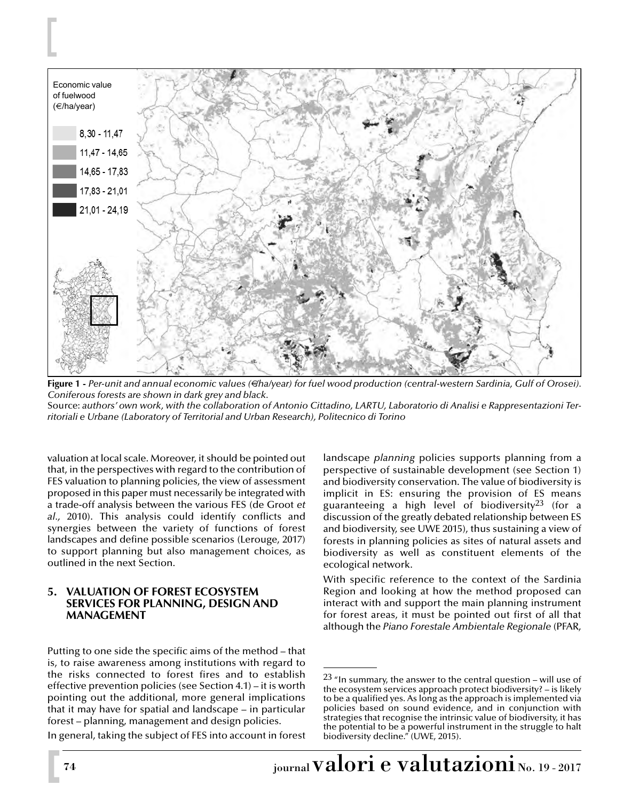

**Figure 1 -** *Per-unit and annual economic values (*€*/ha/year) for fuel wood production (central-western Sardinia, Gulf of Orosei). Coniferous forests are shown in dark grey and black.* Source: *authors' own work, with the collaboration of Antonio Cittadino, LARTU, Laboratorio di Analisi e Rappresentazioni Territoriali e Urbane (Laboratory of Territorial and Urban Research), Politecnico di Torino*

valuation at local scale. Moreover, it should be pointed out that, in the perspectives with regard to the contribution of FES valuation to planning policies, the view of assessment proposed in this paper must necessarily be integrated with a trade-off analysis between the various FES (de Groot *et al.,* 2010). This analysis could identify conflicts and synergies between the variety of functions of forest landscapes and define possible scenarios (Lerouge, 2017) to support planning but also management choices, as outlined in the next Section.

### **5. VALUATION OF FOREST ECOSYSTEM SERVICES FOR PLANNING, DESIGN AND MANAGEMENT**

Putting to one side the specific aims of the method – that is, to raise awareness among institutions with regard to the risks connected to forest fires and to establish effective prevention policies (see Section 4.1) – it is worth pointing out the additional, more general implications that it may have for spatial and landscape – in particular forest – planning, management and design policies.

In general, taking the subject of FES into account in forest

landscape *planning* policies supports planning from a perspective of sustainable development (see Section 1) and biodiversity conservation. The value of biodiversity is implicit in ES: ensuring the provision of ES means guaranteeing a high level of biodiversity<sup>23</sup> (for a discussion of the greatly debated relationship between ES and biodiversity, see UWE 2015), thus sustaining a view of forests in planning policies as sites of natural assets and biodiversity as well as constituent elements of the ecological network.

With specific reference to the context of the Sardinia Region and looking at how the method proposed can interact with and support the main planning instrument for forest areas, it must be pointed out first of all that although the *Piano Forestale Ambientale Regionale* (PFAR,

 $23$  "In summary, the answer to the central question – will use of the ecosystem services approach protect biodiversity?  $-$  is likely to be a qualified yes. As long as the approach is implemented via policies based on sound evidence, and in conjunction with strategies that recognise the intrinsic value of biodiversity, it has the potential to be a powerful instrument in the struggle to halt biodiversity decline." (UWE, 2015).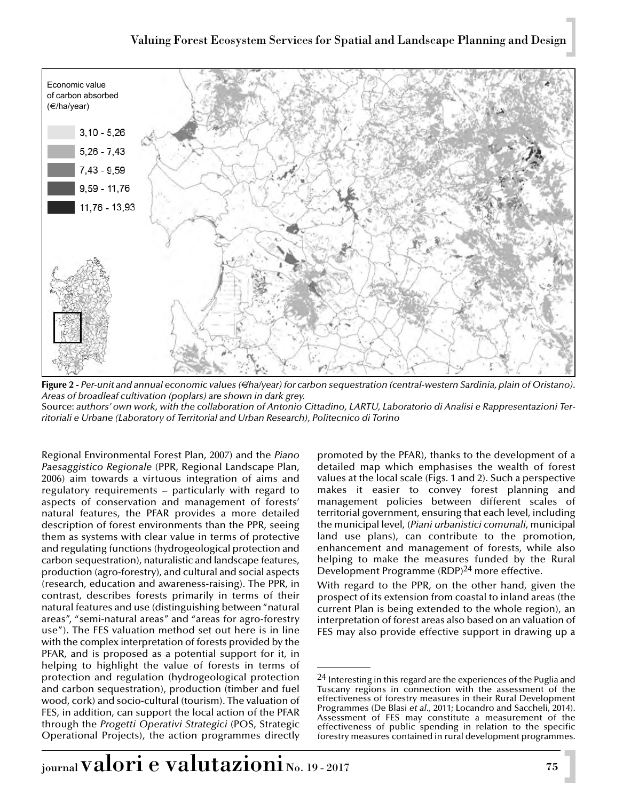

**Figure 2 -** *Per-unit and annual economic values (*€*/ha/year) for carbon sequestration (central-western Sardinia, plain of Oristano). Areas of broadleaf cultivation (poplars) are shown in dark grey.* Source: *authors' own work, with the collaboration of Antonio Cittadino, LARTU, Laboratorio di Analisi e Rappresentazioni Territoriali e Urbane (Laboratory of Territorial and Urban Research), Politecnico di Torino*

Regional Environmental Forest Plan, 2007) and the *Piano Paesaggistico Regionale* (PPR, Regional Landscape Plan, 2006) aim towards a virtuous integration of aims and regulatory requirements – particularly with regard to aspects of conservation and management of forests' natural features, the PFAR provides a more detailed description of forest environments than the PPR, seeing them as systems with clear value in terms of protective and regulating functions (hydrogeological protection and carbon sequestration), naturalistic and landscape features, production (agro-forestry), and cultural and social aspects (research, education and awareness-raising). The PPR, in contrast, describes forests primarily in terms of their natural features and use (distinguishing between "natural areas", "semi-natural areas" and "areas for agro-forestry use"). The FES valuation method set out here is in line with the complex interpretation of forests provided by the PFAR, and is proposed as a potential support for it, in helping to highlight the value of forests in terms of protection and regulation (hydrogeological protection and carbon sequestration), production (timber and fuel wood, cork) and socio-cultural (tourism). The valuation of FES, in addition, can support the local action of the PFAR through the *Progetti Operativi Strategici* (POS, Strategic Operational Projects), the action programmes directly promoted by the PFAR), thanks to the development of a detailed map which emphasises the wealth of forest values at the local scale (Figs. 1 and 2). Such a perspective makes it easier to convey forest planning and management policies between different scales of territorial government, ensuring that each level, including the municipal level, (*Piani urbanistici comunali*, municipal land use plans), can contribute to the promotion, enhancement and management of forests, while also helping to make the measures funded by the Rural Development Programme (RDP)24 more effective.

With regard to the PPR, on the other hand, given the prospect of its extension from coastal to inland areas (the current Plan is being extended to the whole region), an interpretation of forest areas also based on an valuation of FES may also provide effective support in drawing up a

<sup>&</sup>lt;sup>24</sup> Interesting in this regard are the experiences of the Puglia and Tuscany regions in connection with the assessment of the effectiveness of forestry measures in their Rural Development Programmes (De Blasi *et al.,* 2011; Locandro and Saccheli, 2014). Assessment of FES may constitute a measurement of the effectiveness of public spending in relation to the specific forestry measures contained in rural development programmes.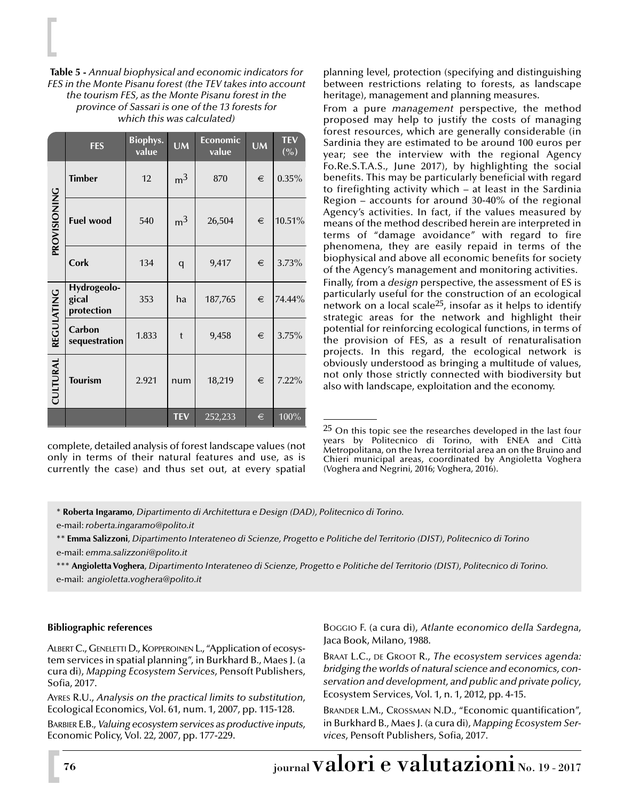**Table 5 -** *Annual biophysical and economic indicators for FES in the Monte Pisanu forest (the TEV takes into account the tourism FES, as the Monte Pisanu forest in the province of Sassari is one of the 13 forests for which this was calculated)*

|                 | <b>FES</b>                         | <b>Biophys.</b><br>value | <b>UM</b>      | Economic<br>value | <b>UM</b> | <b>TEV</b><br>$(\% )$ |
|-----------------|------------------------------------|--------------------------|----------------|-------------------|-----------|-----------------------|
|                 | <b>Timber</b>                      | 12                       | m <sup>3</sup> | 870               | €         | 0.35%                 |
| PROVISIONING    | <b>Fuel wood</b>                   | 540                      | m <sup>3</sup> | 26,504            | €         | 10.51%                |
|                 | Cork                               | 134                      | q              | 9,417             | €         | 3.73%                 |
|                 | Hydrogeolo-<br>gical<br>protection | 353                      | ha             | 187,765           | €         | 74.44%                |
| REGULATING      | Carbon<br>sequestration            | 1.833                    | t              | 9,458             | €         | 3.75%                 |
| <b>CULTURAL</b> | <b>Tourism</b>                     | 2.921                    | num            | 18,219            | €         | $7.22\%$              |
|                 |                                    |                          | <b>TEV</b>     | 252,233           | €         | 100%                  |

complete, detailed analysis of forest landscape values (not only in terms of their natural features and use, as is currently the case) and thus set out, at every spatial

planning level, protection (specifying and distinguishing between restrictions relating to forests, as landscape heritage), management and planning measures.

From a pure *management* perspective, the method proposed may help to justify the costs of managing forest resources, which are generally considerable (in Sardinia they are estimated to be around 100 euros per year; see the interview with the regional Agency Fo.Re.S.T.A.S., June 2017), by highlighting the social benefits. This may be particularly beneficial with regard to firefighting activity which – at least in the Sardinia Region – accounts for around 30-40% of the regional Agency's activities. In fact, if the values measured by means of the method described herein are interpreted in terms of "damage avoidance" with regard to fire phenomena, they are easily repaid in terms of the biophysical and above all economic benefits for society of the Agency's management and monitoring activities. Finally, from a *design* perspective, the assessment of ES is particularly useful for the construction of an ecological network on a local scale25, insofar as it helps to identify strategic areas for the network and highlight their potential for reinforcing ecological functions, in terms of the provision of FES, as a result of renaturalisation projects. In this regard, the ecological network is obviously understood as bringing a multitude of values, not only those strictly connected with biodiversity but also with landscape, exploitation and the economy.

\*\*\* **Angioletta Voghera**, *Dipartimento Interateneo di Scienze, Progetto e Politiche del Territorio (DIST), Politecnico di Torino.* e-mail: *angioletta.voghera@polito.it*

#### **Bibliographic references**

ALBERT C., GENELETTI D., KOPPEROINEN L., "Application of ecosystem services in spatial planning", in Burkhard B., Maes J. (a cura di), *Mapping Ecosystem Services*, Pensoft Publishers, Sofia, 2017.

AYRES R.U., *Analysis on the practical limits to substitution*, Ecological Economics, Vol. 61, num. 1, 2007, pp. 115-128.

BARBIER E.B., *Valuing ecosystem services as productive inputs*, Economic Policy, Vol. 22, 2007, pp. 177-229.

BOGGIO F. (a cura di), *Atlante economico della Sardegna*, Jaca Book, Milano, 1988.

BRAAT L.C., DE GROOT R., *The ecosystem services agenda: bridging the worlds of natural science and economics, conservation and development, and public and private policy*, Ecosystem Services, Vol. 1, n. 1, 2012, pp. 4-15.

BRANDER L.M., CROSSMAN N.D., "Economic quantification", in Burkhard B., Maes J. (a cura di), *Mapping Ecosystem Services*, Pensoft Publishers, Sofia, 2017.

<sup>&</sup>lt;sup>25</sup> On this topic see the researches developed in the last four years by Politecnico di Torino, with ENEA and Città Metropolitana, on the Ivrea territorial area an on the Bruino and Chieri municipal areas, coordinated by Angioletta Voghera (Voghera and Negrini, 2016; Voghera, 2016).

<sup>\*</sup> **Roberta Ingaramo**, *Dipartimento di Architettura e Design (DAD), Politecnico di Torino.*

e-mail: *roberta.ingaramo@polito.it*

<sup>\*\*</sup> **Emma Salizzoni**, *Dipartimento Interateneo di Scienze, Progetto e Politiche del Territorio (DIST), Politecnico di Torino* e-mail: *emma.salizzoni@polito.it*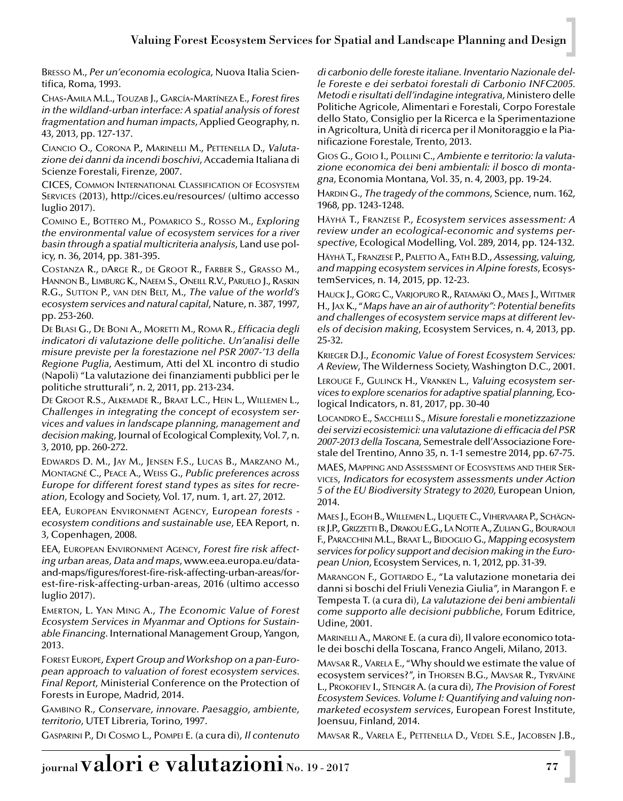BRESSO M., *Per un'economia ecologica*, Nuova Italia Scientifica, Roma, 1993.

CHAS-AMILA M.L., TOUZAB J., GARCÍA-MARTÍNEZA E., *Forest fires in the wildland-urban interface: A spatial analysis of forest fragmentation and human impacts*, Applied Geography, n. 43, 2013, pp. 127-137.

CIANCIO O., CORONA P., MARINELLI M., PETTENELLA D., *Valutazione dei danni da incendi boschivi*, Accademia Italiana di Scienze Forestali, Firenze, 2007.

CICES, COMMON INTERNATIONAL CLASSIFICATION OF ECOSYSTEM SERVICES (2013), http://cices.eu/resources/ (ultimo accesso luglio 2017).

COMINO E., BOTTERO M., POMARICO S., ROSSO M., *Exploring the environmental value of ecosystem services for a river basin through a spatial multicriteria analysis*, Land use policy, n. 36, 2014, pp. 381-395.

COSTANZA R., DARGE R., DE GROOT R., FARBER S., GRASSO M., HANNON B., LIMBURG K., NAEEM S., ONEILL R.V., PARUELO J., RASKIN R.G., SUTTON P., VAN DEN BELT, M., *The value of the world's ecosystem services and natural capital*, Nature, n. 387, 1997, pp. 253-260.

DE BLASI G., DE BONI A., MORETTI M., ROMA R., *Efficacia degli indicatori di valutazione delle politiche. Un'analisi delle misure previste per la forestazione nel PSR 2007-'13 della Regione Puglia*, Aestimum, Atti del XL incontro di studio (Napoli) "La valutazione dei finanziamenti pubblici per le politiche strutturali", n. 2, 2011, pp. 213-234.

DE GROOT R.S., ALKEMADE R., BRAAT L.C., HEIN L., WILLEMEN L., *Challenges in integrating the concept of ecosystem services and values in landscape planning, management and decision making*, Journal of Ecological Complexity, Vol. 7, n. 3, 2010, pp. 260-272.

EDWARDS D. M., JAY M., JENSEN F.S., LUCAS B., MARZANO M., MONTAGNÉ C., PEACE A., WEISS G., *Public preferences across Europe for different forest stand types as sites for recreation*, Ecology and Society, Vol. 17, num. 1, art. 27, 2012.

EEA, EUROPEAN ENVIRONMENT AGENCY, E*uropean forests ecosystem conditions and sustainable use*, EEA Report, n. 3, Copenhagen, 2008.

EEA, EUROPEAN ENVIRONMENT AGENCY, *Forest fire risk affecting urban areas, Data and maps*, www.eea.europa.eu/dataand-maps/figures/forest-fire-risk-affecting-urban-areas/forest-fire-risk-affecting-urban-areas, 2016 (ultimo accesso luglio 2017).

EMERTON, L. YAN MING A., *The Economic Value of Forest Ecosystem Services in Myanmar and Options for Sustainable Financing*. International Management Group, Yangon, 2013.

FOREST EUROPE, *Expert Group and Workshop on a pan-European approach to valuation of forest ecosystem services. Final Report*, Ministerial Conference on the Protection of Forests in Europe, Madrid, 2014.

GAMBINO R., *Conservare, innovare. Paesaggio, ambiente, territorio*, UTET Libreria, Torino, 1997.

GASPARINI P., DI COSMO L., POMPEI E. (a cura di), *Il contenuto*

di carbonio delle foreste italiane. Inventario Nazionale del*le Foreste e dei serbatoi forestali di Carbonio INFC2005. Metodi e risultati dell'indagine integrativa*, Ministero delle Politiche Agricole, Alimentari e Forestali, Corpo Forestale dello Stato, Consiglio per la Ricerca e la Sperimentazione in Agricoltura, Unità di ricerca per il Monitoraggio e la Pianificazione Forestale, Trento, 2013.

GIOS G., GOIO I., POLLINI C., *Ambiente e territorio: la valutazione economica dei beni ambientali: il bosco di montagna*, Economia Montana, Vol. 35, n. 4, 2003, pp. 19-24.

HARDIN G., *The tragedy of the commons*, Science, num. 162, 1968, pp. 1243-1248.

HÄYHÄ T., FRANZESE P., *Ecosystem services assessment: A review under an ecological-economic and systems perspective*, Ecological Modelling, Vol. 289, 2014, pp. 124-132.

HÄYHÄ T., FRANZESE P., PALETTO A., FATH B.D., *Assessing, valuing, and mapping ecosystem services in Alpine forests*, EcosystemServices, n. 14, 2015, pp. 12-23.

HAUCK J., GÖRG C., VARJOPURO R., RATAMÄKI O., MAES J., WITTMER H., JAX K., "*Maps have an air of authority'': Potential benefits and challenges of ecosystem service maps at different levels of decision making*, Ecosystem Services, n. 4, 2013, pp. 25-32.

KRIEGER D.J., *Economic Value of Forest Ecosystem Services: A Review*, The Wilderness Society, Washington D.C., 2001.

LEROUGE F., GULINCK H., VRANKEN L., *Valuing ecosystem services to explore scenarios for adaptive spatial planning,* Ecological Indicators, n. 81, 2017, pp. 30-40

LOCANDRO E., SACCHELLI S., *Misure forestali e monetizzazione dei servizi ecosistemici: una valutazione di efficacia del PSR 2007-2013 della Toscana*, Semestrale dell'Associazione Forestale del Trentino, Anno 35, n. 1-1 semestre 2014, pp. 67-75.

MAES, MAPPING AND ASSESSMENT OF ECOSYSTEMS AND THEIR SER-VICES, *Indicators for ecosystem assessments under Action 5 of the EU Biodiversity Strategy to 2020*, European Union, 2014.

MAES J., EGOH B., WILLEMEN L., LIQUETE C., VIHERVAARA P., SCHÄGN-ER J.P., GRIZZETTI B., DRAKOU E.G., LA NOTTE A., ZULIAN G., BOURAOUI F., PARACCHINI M.L., BRAAT L., BIDOGLIO G., *Mapping ecosystem services for policy support and decision making in the European Union*, Ecosystem Services, n. 1, 2012, pp. 31-39.

MARANGON F., GOTTARDO E., "La valutazione monetaria dei danni si boschi del Friuli Venezia Giulia", in Marangon F. e Tempesta T. (a cura di), *La valutazione dei beni ambientali come supporto alle decisioni pubbliche*, Forum Editrice, Udine, 2001.

MARINELLI A., MARONE E. (a cura di), Il valore economico totale dei boschi della Toscana, Franco Angeli, Milano, 2013.

MAVSAR R., VARELA E., "Why should we estimate the value of ecosystem services?", in THORSEN B.G., MAVSAR R., TYRVÄINE L., PROKOFIEV I., STENGER A. (a cura di), *The Provision of Forest Ecosystem Sevices. Volume I: Quantifying and valuing nonmarketed ecosystem services*, European Forest Institute, Joensuu, Finland, 2014.

MAVSAR R., VARELA E., PETTENELLA D., VEDEL S.E., JACOBSEN J.B.,